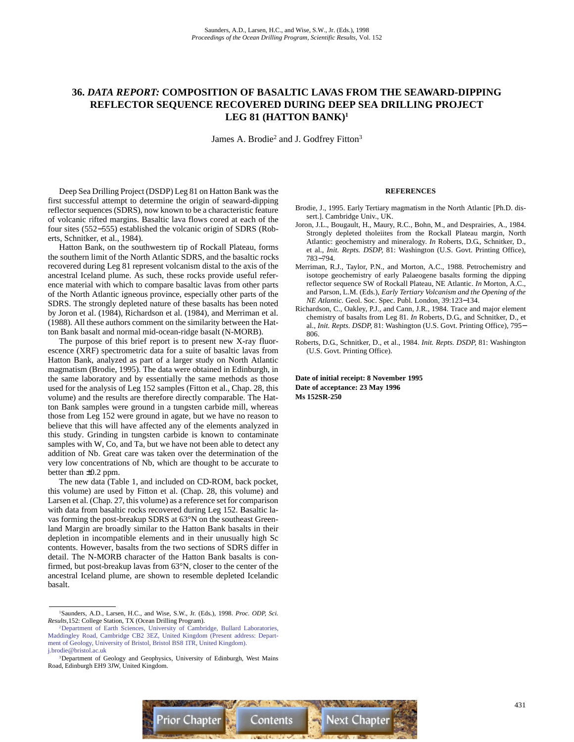# **36.** *DATA REPORT:* **COMPOSITION OF BASALTIC LAVAS FROM THE SEAWARD-DIPPING REFLECTOR SEQUENCE RECOVERED DURING DEEP SEA DRILLING PROJECT LEG 81 (HATTON BANK)1**

James A. Brodie<sup>2</sup> and J. Godfrey Fitton<sup>3</sup>

Deep Sea Drilling Project (DSDP) Leg 81 on Hatton Bank was the first successful attempt to determine the origin of seaward-dipping reflector sequences (SDRS), now known to be a characteristic feature of volcanic rifted margins. Basaltic lava flows cored at each of the four sites (552−555) established the volcanic origin of SDRS (Roberts, Schnitker, et al., 1984).

Hatton Bank, on the southwestern tip of Rockall Plateau, forms the southern limit of the North Atlantic SDRS, and the basaltic rocks recovered during Leg 81 represent volcanism distal to the axis of the ancestral Iceland plume. As such, these rocks provide useful reference material with which to compare basaltic lavas from other parts of the North Atlantic igneous province, especially other parts of the SDRS. The strongly depleted nature of these basalts has been noted by Joron et al. (1984), Richardson et al. (1984), and Merriman et al. (1988). All these authors comment on the similarity between the Hatton Bank basalt and normal mid-ocean-ridge basalt (N-MORB).

The purpose of this brief report is to present new X-ray fluorescence (XRF) spectrometric data for a suite of basaltic lavas from Hatton Bank, analyzed as part of a larger study on North Atlantic magmatism (Brodie, 1995). The data were obtained in Edinburgh, in the same laboratory and by essentially the same methods as those used for the analysis of Leg 152 samples (Fitton et al., Chap. 28, this volume) and the results are therefore directly comparable. The Hatton Bank samples were ground in a tungsten carbide mill, whereas those from Leg 152 were ground in agate, but we have no reason to believe that this will have affected any of the elements analyzed in this study. Grinding in tungsten carbide is known to contaminate samples with W, Co, and Ta, but we have not been able to detect any addition of Nb. Great care was taken over the determination of the very low concentrations of Nb, which are thought to be accurate to better than ±0.2 ppm.

The new data (Table 1, and included on CD-ROM, back pocket, this volume) are used by Fitton et al. (Chap. 28, this volume) and Larsen et al. (Chap. 27, this volume) as a reference set for comparison with data from basaltic rocks recovered during Leg 152. Basaltic lavas forming the post-breakup SDRS at 63°N on the southeast Greenland Margin are broadly similar to the Hatton Bank basalts in their depletion in incompatible elements and in their unusually high Sc contents. However, basalts from the two sections of SDRS differ in detail. The N-MORB character of the Hatton Bank basalts is confirmed, but post-breakup lavas from 63°N, closer to the center of the ancestral Iceland plume, are shown to resemble depleted Icelandic basalt.

#### **REFERENCES**

- Brodie, J., 1995. Early Tertiary magmatism in the North Atlantic [Ph.D. dissert.]. Cambridge Univ., UK.
- Joron, J.L., Bougault, H., Maury, R.C., Bohn, M., and Desprairies, A., 1984. Strongly depleted tholeiites from the Rockall Plateau margin, North Atlantic: geochemistry and mineralogy. *In* Roberts, D.G., Schnitker, D., et al., *Init. Repts. DSDP,* 81: Washington (U.S. Govt. Printing Office), 783−794.
- Merriman, R.J., Taylor, P.N., and Morton, A.C., 1988. Petrochemistry and isotope geochemistry of early Palaeogene basalts forming the dipping reflector sequence SW of Rockall Plateau, NE Atlantic. *In* Morton, A.C., and Parson, L.M. (Eds.), *Early Tertiary Volcanism and the Opening of the NE Atlantic.* Geol. Soc. Spec. Publ. London, 39:123−134.
- Richardson, C., Oakley, P.J., and Cann, J.R., 1984. Trace and major element chemistry of basalts from Leg 81. *In* Roberts, D.G., and Schnitker, D., et al., *Init. Repts. DSDP,* 81: Washington (U.S. Govt. Printing Office), 795− 806.
- Roberts, D.G., Schnitker, D., et al., 1984. *Init. Repts. DSDP,* 81: Washington (U.S. Govt. Printing Office).

**Date of initial receipt: 8 November 1995 Date of acceptance: 23 May 1996 Ms 152SR-250**



<sup>1</sup>Saunders, A.D., Larsen, H.C., and Wise, S.W., Jr. (Eds.), 1998. *Proc. ODP, Sci. Results,*152: College Station, TX (Ocean Drilling Program).

<sup>2</sup>Department of Earth Sciences, University of Cambridge, Bullard Laboratories, [Maddingley Road, Cambridge CB2 3EZ, United Kingdom \(Present address: Depart](mailto:j.brodie@bristol.ac.uk)ment of Geology, University of Bristol, Bristol BS8 1TR, United Kingdom). j.brodie@bristol.ac.uk

<sup>&</sup>lt;sup>3</sup>Department of Geology and Geophysics, University of Edinburgh, West Mains Road, Edinburgh EH9 3JW, United Kingdom.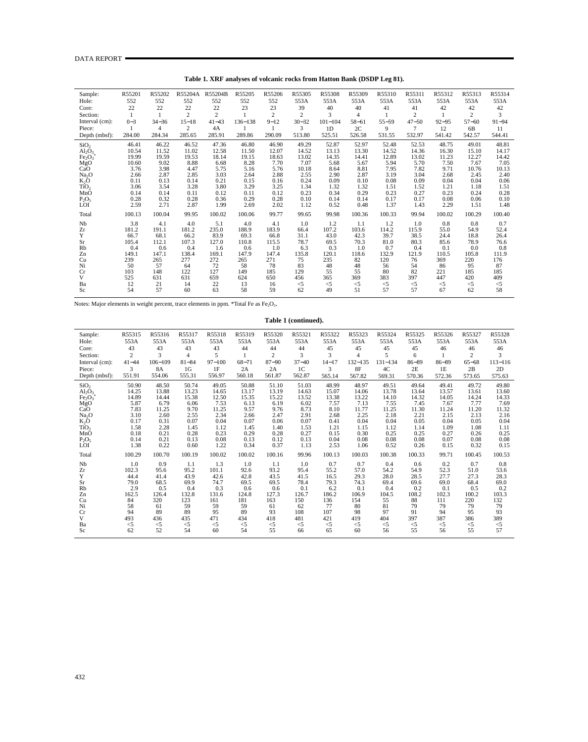| Sample:                        | R55201  | R55202    | R55204A        | R55204B        | R55205      | R55206   | R55305         | R55308      | R55309    | R55310    | R55311         | R55312    | R55313         | R55314    |
|--------------------------------|---------|-----------|----------------|----------------|-------------|----------|----------------|-------------|-----------|-----------|----------------|-----------|----------------|-----------|
| Hole:                          | 552     | 552       | 552            | 552            | 552         | 552      | 553A           | 553A        | 553A      | 553A      | 553A           | 553A      | 553A           | 553A      |
| Core:                          | 22      | 22        | 22             | 22             | 23          | 23       | 39             | 40          | 40        | 41        | 41             | 42        | 42             | 42        |
| Section:                       |         |           | $\overline{c}$ | $\overline{2}$ |             | 2        | $\overline{c}$ | 3           | 4         |           | $\overline{c}$ |           | 2              | 3         |
| Interval (cm):                 | $0 - 3$ | $34 - 36$ | $15 - 18$      | $41 - 43$      | $136 - 138$ | $9 - 12$ | $30 - 32$      | $101 - 104$ | $58 - 61$ | $55 - 59$ | $47 - 50$      | $92 - 95$ | $57 - 60$      | $91 - 94$ |
| Piece:                         |         | 4         | $\overline{2}$ | 4A             |             |          | 3              | 1D          | 2C        | 9         | 7              | 12        | 6 <sub>B</sub> | 11        |
| Depth (mbsf):                  | 284.00  | 284.34    | 285.65         | 285.91         | 289.86      | 290.09   | 513.80         | 525.51      | 526.58    | 531.55    | 532.97         | 541.42    | 542.57         | 544.41    |
| SiO <sub>2</sub>               | 46.41   | 46.22     | 46.52          | 47.36          | 46.80       | 46.90    | 49.29          | 52.87       | 52.97     | 52.48     | 52.53          | 48.75     | 49.01          | 48.81     |
| $Al_2O_3$                      | 10.54   | 11.52     | 11.02          | 12.58          | 11.50       | 12.07    | 14.52          | 13.13       | 13.30     | 14.52     | 14.36          | 16.30     | 15.10          | 14.17     |
| Fe <sub>2</sub> O <sub>3</sub> | 19.99   | 19.59     | 19.53          | 18.14          | 19.15       | 18.63    | 13.02          | 14.35       | 14.41     | 12.89     | 13.02          | 11.23     | 12.27          | 14.42     |
| MgO                            | 10.60   | 9.02      | 8.88           | 6.68           | 8.28        | 7.70     | 7.07           | 5.68        | 5.67      | 5.94      | 5.70           | 7.50      | 7.67           | 7.05      |
| CaO                            | 3.76    | 3.98      | 4.47           | 5.75           | 5.16        | 5.76     | 10.18          | 8.64        | 8.81      | 7.95      | 7.82           | 9.71      | 10.76          | 10.13     |
| Na <sub>2</sub> O              | 2.66    | 2.87      | 2.85           | 3.03           | 2.64        | 2.88     | 2.55           | 2.90        | 2.87      | 3.19      | 3.04           | 2.68      | 2.45           | 2.40      |
| K <sub>2</sub> O               | 0.11    | 0.13      | 0.14           | 0.21           | 0.15        | 0.16     | 0.24           | 0.09        | 0.10      | 0.08      | 0.09           | 0.04      | 0.04           | 0.06      |
| TiO <sub>2</sub>               | 3.06    | 3.54      | 3.28           | 3.80           | 3.29        | 3.25     | 1.34           | 1.32        | 1.32      | 1.51      | 1.52           | 1.21      | 1.18           | 1.51      |
| MnŌ                            | 0.14    | 0.14      | 0.11           | 0.12           | 0.11        | 0.12     | 0.23           | 0.34        | 0.29      | 0.23      | 0.27           | 0.23      | 0.24           | 0.28      |
| $P_2O_5$                       | 0.28    | 0.32      | 0.28           | 0.36           | 0.29        | 0.28     | 0.10           | 0.14        | 0.14      | 0.17      | 0.17           | 0.08      | 0.06           | 0.10      |
| <b>LOI</b>                     | 2.59    | 2.71      | 2.87           | 1.99           | 2.69        | 2.02     | 1.12           | 0.52        | 0.48      | 1.37      | 1.43           | 2.29      | 1.51           | 1.48      |
| Total                          | 100.13  | 100.04    | 99.95          | 100.02         | 100.06      | 99.77    | 99.65          | 99.98       | 100.36    | 100.33    | 99.94          | 100.02    | 100.29         | 100.40    |
| Nb                             | 3.8     | 4.1       | 4.0            | 5.1            | 4.0         | 4.1      | 1.0            | 1.2         | 1.1       | 1.2       | 1.0            | 0.8       | 0.8            | 0.7       |
| Zr                             | 181.2   | 191.1     | 181.2          | 235.0          | 188.9       | 183.9    | 66.4           | 107.2       | 103.6     | 114.2     | 115.9          | 55.0      | 54.9           | 52.4      |
| Y                              | 66.7    | 68.1      | 66.2           | 83.9           | 69.3        | 66.8     | 31.1           | 43.0        | 42.3      | 39.7      | 38.5           | 24.4      | 18.8           | 26.4      |
| Sr                             | 105.4   | 112.1     | 107.3          | 127.0          | 110.8       | 115.5    | 78.7           | 69.5        | 70.3      | 81.0      | 80.3           | 85.6      | 78.9           | 76.6      |
| Rb                             | 0.4     | 0.6       | 0.4            | 1.6            | 0.6         | 1.0      | 6.3            | 0.3         | 1.0       | 0.7       | 0.4            | 0.1       | 0.0            | 0.8       |
| Zn                             | 149.1   | 147.1     | 138.4          | 169.1          | 147.9       | 147.4    | 135.8          | 120.1       | 118.6     | 132.9     | 121.9          | 110.5     | 105.8          | 111.9     |
| Cu                             | 239     | 265       | 277            | 272            | 265         | 271      | 75             | 235         | 82        | 120       | 76             | 369       | 220            | 176       |
| Ni                             | 50      | 57        | 64             | 72             | 58          | 78       | 83             | 48          | 48        | 56        | 54             | 86        | 95             | 87        |
| Cr                             | 103     | 148       | 122            | 127            | 149         | 185      | 129            | 55          | 55        | 80        | 82             | 221       | 185            | 185       |
| V                              | 525     | 631       | 631            | 659            | 624         | 650      | 456            | 365         | 369       | 383       | 397            | 447       | 420            | 409       |
| Ba                             | 12      | 21        | 14             | 22             | 13          | 16       | $<$ 5          | $<$ 5       | $\leq$ 5  | $<$ 5     | $<$ 5          | $<$ 5     | $<$ 5          | $<$ 5     |
| Sc                             | 54      | 57        | 60             | 63             | 58          | 59       | 62             | 49          | 51        | 57        | 57             | 67        | 62             | 58        |

**Table 1. XRF analyses of volcanic rocks from Hatton Bank (DSDP Leg 81).**

Notes: Major elements in weight percent, trace elements in ppm. \*Total Fe as Fe<sub>2</sub>O<sub>3</sub>.

#### **Table 1 (continued).**

| Sample:                        | R55315         | R55316       | R55317         | R55318     | R55319    | R55320         | R55321         | R55322    | R55323         | R55324      | R55325    | R55326    | R55327    | R55328      |
|--------------------------------|----------------|--------------|----------------|------------|-----------|----------------|----------------|-----------|----------------|-------------|-----------|-----------|-----------|-------------|
| Hole:                          | 553A           | 553A         | 553A           | 553A       | 553A      | 553A           | 553A           | 553A      | 553A           | 553A        | 553A      | 553A      | 553A      | 553A        |
| Core:                          | 43             | 43           | 43             | 43         | 44        | 44             | 44             | 45        | 45             | 45          | 45        | 46        | 46        | 46          |
| Section:                       | $\overline{c}$ | $\mathbf{3}$ | $\overline{4}$ | 5          | 1         | $\overline{c}$ | 3              | 3         | $\overline{4}$ | 5           | 6         |           | 2         | 3           |
| Interval (cm):                 | $41 - 44$      | $106 - 109$  | $81 - 84$      | $97 - 100$ | $68 - 71$ | $87 - 90$      | $37 - 40$      | $14 - 17$ | $132 - 135$    | $131 - 134$ | $86 - 89$ | $86 - 89$ | $65 - 68$ | $113 - 116$ |
| Piece:                         | 3              | <b>8A</b>    | 1 <sub>G</sub> | 1F         | 2A        | 2A             | 1 <sup>C</sup> | 3         | 8F             | 4C          | 2E        | 1E        | 2B        | 2D          |
| Depth (mbsf):                  | 551.91         | 554.06       | 555.31         | 556.97     | 560.18    | 561.87         | 562.87         | 565.14    | 567.82         | 569.31      | 570.36    | 572.36    | 573.65    | 575.63      |
| SiO <sub>2</sub>               | 50.90          | 48.50        | 50.74          | 49.05      | 50.88     | 51.10          | 51.03          | 48.99     | 48.97          | 49.51       | 49.64     | 49.41     | 49.72     | 49.80       |
| $Al_2O_3$                      | 14.25          | 13.88        | 13.23          | 14.65      | 13.17     | 13.19          | 14.63          | 15.07     | 14.06          | 13.78       | 13.64     | 13.57     | 13.61     | 13.60       |
| Fe <sub>2</sub> O <sub>3</sub> | 14.89          | 14.44        | 15.38          | 12.50      | 15.35     | 15.22          | 13.52          | 13.38     | 13.22          | 14.10       | 14.32     | 14.05     | 14.24     | 14.33       |
| MgO                            | 5.87           | 6.79         | 6.06           | 7.53       | 6.13      | 6.19           | 6.02           | 7.57      | 7.13           | 7.55        | 7.45      | 7.67      | 7.77      | 7.69        |
| Ca <sup>o</sup>                | 7.83           | 11.25        | 9.70           | 11.25      | 9.57      | 9.76           | 8.73           | 8.10      | 11.77          | 11.25       | 11.30     | 11.24     | 11.20     | 11.32       |
| Na <sub>2</sub> O              | 3.10           | 2.60         | 2.55           | 2.34       | 2.66      | 2.47           | 2.91           | 2.68      | 2.25           | 2.18        | 2.21      | 2.15      | 2.13      | 2.16        |
| $K_2O$                         | 0.17           | 0.31         | 0.07           | 0.04       | 0.07      | 0.06           | 0.07           | 0.41      | 0.04           | 0.04        | 0.05      | 0.04      | 0.05      | 0.04        |
| TiO <sub>2</sub>               | 1.58           | 2.28         | 1.45           | 1.12       | 1.45      | 1.40           | 1.53           | 1.21      | 1.15           | 1.12        | 1.14      | 1.09      | 1.08      | 1.11        |
| MnO                            | 0.18           | 0.21         | 0.28           | 0.23       | 0.29      | 0.28           | 0.27           | 0.15      | 0.30           | 0.25        | 0.25      | 0.27      | 0.26      | 0.25        |
| $P_2O_5$                       | 0.14           | 0.21         | 0.13           | 0.08       | 0.13      | 0.12           | 0.13           | 0.04      | 0.08           | 0.08        | 0.08      | 0.07      | 0.08      | 0.08        |
| LÕI                            | 1.38           | 0.22         | 0.60           | 1.22       | 0.34      | 0.37           | 1.13           | 2.53      | 1.06           | 0.52        | 0.26      | 0.15      | 0.32      | 0.15        |
| Total                          | 100.29         | 100.70       | 100.19         | 100.02     | 100.02    | 100.16         | 99.96          | 100.13    | 100.03         | 100.38      | 100.33    | 99.71     | 100.45    | 100.53      |
| Nb                             | 1.0            | 0.9          | 1.1            | 1.3        | 1.0       | 1.1            | 1.0            | 0.7       | 0.7            | 0.4         | 0.6       | 0.2       | 0.7       | 0.8         |
| Zr                             | 102.3          | 95.6         | 95.2           | 101.1      | 92.6      | 93.2           | 95.4           | 55.2      | 57.0           | 54.2        | 54.9      | 52.3      | 51.0      | 53.6        |
| Y                              | 44.4           | 41.4         | 43.9           | 42.6       | 42.8      | 43.5           | 41.5           | 16.5      | 29.3           | 28.0        | 28.5      | 27.7      | 27.3      | 28.3        |
| Sr                             | 79.0           | 68.5         | 69.9           | 74.7       | 69.5      | 69.5           | 78.4           | 79.3      | 74.3           | 69.4        | 69.6      | 69.0      | 68.4      | 69.0        |
| Rb                             | 2.9            | 0.5          | 0.4            | 0.3        | 0.6       | 0.6            | 0.1            | 6.2       | 0.1            | 0.4         | 0.2       | 0.1       | 0.5       | 0.2         |
| Zn                             | 162.5          | 126.4        | 132.8          | 131.6      | 124.8     | 127.3          | 126.7          | 186.2     | 106.9          | 104.5       | 108.2     | 102.3     | 100.2     | 103.3       |
| Cu                             | 84             | 320          | 123            | 161        | 181       | 163            | 150            | 136       | 154            | 55          | 88        | 111       | 220       | 132         |
| Ni                             | 58             | 61           | 59             | 59         | 59        | 61             | 62             | 77        | 80             | 81          | 79        | 79        | 79        | 79          |
| Cr                             | 94             | 89           | 89             | 95         | 89        | 93             | 108            | 107       | 98             | 97          | 91        | 94        | 95        | 93          |
| V                              | 493            | 436          | 435            | 471        | 434       | 418            | 481            | 421       | 419            | 404         | 397       | 387       | 386       | 389         |
| Ba                             | $<$ 5          | $<$ 5        | $<$ 5          | $<$ 5      | $<$ 5     | $<$ 5          | $\leq$ 5       | $<$ 5     | $<$ 5          | $<$ 5       | $<$ 5     | $<$ 5     | $<$ 5     | $<$ 5       |
| Sc                             | 62             | 52           | 54             | 60         | 54        | 55             | 66             | 65        | 60             | 56          | 55        | 56        | 55        | 57          |
|                                |                |              |                |            |           |                |                |           |                |             |           |           |           |             |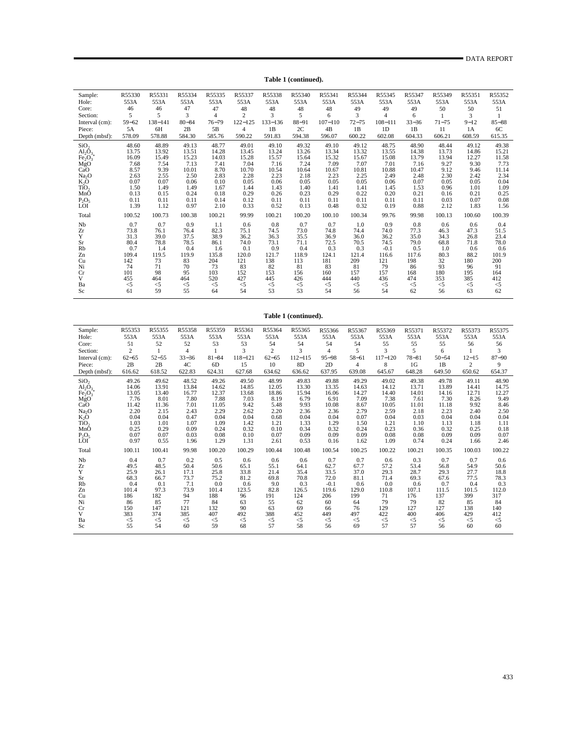**Table 1 (continued).**

| Sample:                        | R55330    | R55331  | R55334    | R55335         | R55337         | R55338      | R55340    | R55341      | R55344    | R55345         | R55347    | R55349    | R55351   | R55352    |
|--------------------------------|-----------|---------|-----------|----------------|----------------|-------------|-----------|-------------|-----------|----------------|-----------|-----------|----------|-----------|
| Hole:                          | 553A      | 553A    | 553A      | 553A           | 553A           | 553A        | 553A      | 553A        | 553A      | 553A           | 553A      | 553A      | 553A     | 553A      |
| Core:                          | 46        | 46      | 47        | 47             | 48             | 48          | 48        | 48          | 49        | 49             | 49        | 50        | 50       | 51        |
| Section:                       | 5         | 5       | 3         | $\overline{4}$ | $\overline{2}$ | 3           | 5         | 6           | 3         | $\overline{4}$ | 6         |           | 3        |           |
| Interval (cm):                 | $59 - 62$ | 138-141 | $80 - 84$ | $76 - 79$      | $122 - 125$    | $133 - 136$ | $88 - 91$ | $107 - 110$ | $72 - 75$ | $108 - 111$    | $33 - 36$ | $71 - 75$ | $9 - 12$ | $85 - 88$ |
| Piece:                         | 5A        | 6H      | 2B        | 5B             | $\overline{4}$ | 1B          | 2C        | 4B          | 1B        | 1D             | 1B        | 11        | 1A       | 6C        |
| Depth (mbsf):                  | 578.09    | 578.88  | 584.30    | 585.76         | 590.22         | 591.83      | 594.38    | 596.07      | 600.22    | 602.08         | 604.33    | 606.21    | 608.59   | 615.35    |
| SiO <sub>2</sub>               | 48.60     | 48.89   | 49.13     | 48.77          | 49.01          | 49.10       | 49.32     | 49.10       | 49.12     | 48.75          | 48.90     | 48.44     | 49.12    | 49.38     |
| $\text{Al}_2\bar{\text{O}}_3$  | 13.75     | 13.92   | 13.51     | 14.28          | 13.45          | 13.24       | 13.26     | 13.34       | 13.32     | 13.55          | 14.38     | 13.73     | 14.86    | 15.21     |
| Fe <sub>2</sub> O <sub>3</sub> | 16.09     | 15.49   | 15.23     | 14.03          | 15.28          | 15.57       | 15.64     | 15.32       | 15.67     | 15.08          | 13.79     | 13.94     | 12.27    | 11.58     |
| MgO<br>CaO                     | 7.68      | 7.54    | 7.13      | 7.41           | 7.04           | 7.16        | 7.24      | 7.09        | 7.07      | 7.01           | 7.16      | 9.27      | 9.30     | 7.73      |
|                                | 8.57      | 9.39    | 10.01     | 8.70           | 10.70          | 10.54       | 10.64     | 10.67       | 10.81     | 10.88          | 10.47     | 9.12      | 9.46     | 11.14     |
| Na <sub>2</sub> O              | 2.63      | 2.55    | 2.50      | 2.83           | 2.28           | 2.23        | 2.18      | 2.23        | 2.25      | 2.49           | 2.48      | 2.30      | 2.42     | 2.34      |
| $K_2O$                         | 0.07      | 0.07    | 0.06      | 0.10           | 0.05           | 0.06        | 0.05      | 0.05        | 0.05      | 0.06           | 0.07      | 0.05      | 0.05     | 0.04      |
| TiO <sub>2</sub>               | 1.50      | 1.49    | 1.49      | 1.67           | 1.44           | 1.43        | 1.40      | 1.41        | 1.41      | 1.45           | 1.53      | 0.96      | 1.01     | 1.09      |
| MnO                            | 0.13      | 0.15    | 0.24      | 0.18           | 0.29           | 0.26        | 0.23      | 0.29        | 0.22      | 0.20           | 0.21      | 0.16      | 0.21     | 0.25      |
| $P_2O_5$                       | 0.11      | 0.11    | 0.11      | 0.14           | 0.12           | 0.11        | 0.11      | 0.11        | 0.11      | 0.11           | 0.11      | 0.03      | 0.07     | 0.08      |
| LÕI                            | 1.39      | 1.12    | 0.97      | 2.10           | 0.33           | 0.52        | 0.13      | 0.48        | 0.32      | 0.19           | 0.88      | 2.12      | 1.83     | 1.56      |
| Total                          | 100.52    | 100.73  | 100.38    | 100.21         | 99.99          | 100.21      | 100.20    | 100.10      | 100.34    | 99.76          | 99.98     | 100.13    | 100.60   | 100.39    |
| Nb                             | 0.7       | 0.7     | 0.9       | 1.1            | 0.6            | 0.8         | 0.7       | 0.7         | 1.0       | 0.9            | 0.8       | 0.6       | 0.6      | 0.4       |
| Zr                             | 73.8      | 76.1    | 76.4      | 82.3           | 75.1           | 74.5        | 73.0      | 74.8        | 74.4      | 74.0           | 77.3      | 46.3      | 47.3     | 51.5      |
| Y                              | 31.3      | 39.0    | 37.5      | 38.9           | 36.2           | 36.3        | 35.5      | 36.9        | 36.0      | 36.2           | 35.0      | 34.3      | 26.8     | 23.4      |
| Sr                             | 80.4      | 78.8    | 78.5      | 86.1           | 74.0           | 73.1        | 71.1      | 72.5        | 70.5      | 74.5           | 79.0      | 68.8      | 71.8     | 78.0      |
| Rb                             | 0.7       | 1.4     | 0.4       | 1.6            | 0.1            | 0.9         | 0.4       | 0.3         | 0.3       | $-0.1$         | 0.5       | 1.0       | 0.6      | 0.6       |
| Zn                             | 109.4     | 119.5   | 119.9     | 135.8          | 120.0          | 121.7       | 118.9     | 124.1       | 121.4     | 116.6          | 117.6     | 80.3      | 88.2     | 101.9     |
| Cu                             | 142       | 73      | 83        | 204            | 121            | 138         | 113       | 181         | 209       | 121            | 198       | 32        | 180      | 200       |
| Ni                             | 74        | 71      | 70        | 73             | 83             | 82          | 81        | 83          | 81        | 79             | 86        | 93        | 96       | 91        |
| Cr                             | 101       | 98      | 95        | 103            | 152            | 153         | 156       | 160         | 157       | 157            | 168       | 180       | 195      | 164       |
| V                              | 455       | 464     | 464       | 520            | 427            | 445         | 426       | 444         | 440       | 436            | 474       | 353       | 385      | 412       |
| Ba                             | $<$ 5     | $<$ 5   | $<$ 5     | $<$ 5          | $<$ 5          | $<$ 5       | $<$ 5     | $<$ 5       | $<$ 5     | $<$ 5          | $<$ 5     | $<$ 5     | $<$ 5    | $<$ 5     |
| Sc                             | 61        | 59      | 55        | 64             | 54             | 53          | 53        | 54          | 56        | 54             | 62        | 56        | 63       | 62        |

## **Table 1 (continued).**

| Sample:                        | R55353         | R55355    | R55358         | R55359         | R55361       | R55364         | R55365      | R55366         | R55367    | R55369      | R55371    | R55372    | R55373    | R55375    |
|--------------------------------|----------------|-----------|----------------|----------------|--------------|----------------|-------------|----------------|-----------|-------------|-----------|-----------|-----------|-----------|
| Hole:                          | 553A           | 553A      | 553A           | 553A           | 553A         | 553A           | 553A        | 553A           | 553A      | 553A        | 553A      | 553A      | 553A      | 553A      |
| Core:                          | 51             | 52        | 52             | 53             | 53           | 54             | 54          | 54             | 54        | 55          | 55        | 55        | 56        | 56        |
| Section:                       | $\overline{2}$ |           | $\overline{4}$ |                | $\mathbf{3}$ | $\overline{2}$ | 3           | $\overline{4}$ | 5         | 3           | 5         | 6         |           | 3         |
| Interval (cm):                 | $62 - 65$      | $52 - 55$ | $33 - 36$      | $81 - 84$      | $118 - 121$  | $62 - 65$      | $112 - 115$ | $95 - 98$      | $58 - 61$ | $117 - 120$ | $78 - 81$ | $50 - 54$ | $12 - 15$ | $87 - 90$ |
| Piece:                         | 2B             | 2B        | 4C             | 6 <sub>D</sub> | 15           | 10             | 8D          | 2D             | 4         | 8           | 1G        | 1B        | 2         | 9         |
| Depth (mbsf):                  | 616.62         | 618.52    | 622.83         | 624.31         | 627.68       | 634.62         | 636.62      | 637.95         | 639.08    | 645.67      | 648.28    | 649.50    | 650.62    | 654.37    |
| SiO <sub>2</sub>               | 49.26          | 49.62     | 48.52          | 49.26          | 49.50        | 48.99          | 49.83       | 49.88          | 49.29     | 49.02       | 49.38     | 49.78     | 49.11     | 48.90     |
| $Al_2O_3$                      | 14.06          | 13.91     | 13.84          | 14.62          | 14.85        | 12.05          | 13.30       | 13.35          | 14.63     | 14.12       | 13.71     | 13.89     | 14.41     | 14.75     |
| Fe <sub>2</sub> O <sub>3</sub> | 13.05          | 13.40     | 16.77          | 12.37          | 13.68        | 18.86          | 15.94       | 16.06          | 14.27     | 14.40       | 14.01     | 14.16     | 12.71     | 12.27     |
| MgO                            | 7.76           | 8.01      | 7.80           | 7.88           | 7.03         | 8.19           | 6.79        | 6.91           | 7.09      | 7.38        | 7.61      | 7.30      | 8.26      | 9.49      |
| Ca <sub>O</sub>                | 11.42          | 11.36     | 7.01           | 11.05          | 9.42         | 5.48           | 9.93        | 10.08          | 8.67      | 10.05       | 11.01     | 11.18     | 9.92      | 8.46      |
| Na <sub>2</sub> O              | 2.20           | 2.15      | 2.43           | 2.29           | 2.62         | 2.20           | 2.36        | 2.36           | 2.79      | 2.59        | 2.18      | 2.23      | 2.40      | 2.50      |
| $K_2O$                         | 0.04           | 0.04      | 0.47           | 0.04           | 0.04         | 0.68           | 0.04        | 0.04           | 0.07      | 0.04        | 0.03      | 0.04      | 0.04      | 0.04      |
| TiO <sub>2</sub>               | 1.03           | 1.01      | 1.07           | 1.09           | 1.42         | 1.21           | 1.33        | 1.29           | 1.50      | 1.21        | 1.10      | 1.13      | 1.18      | 1.11      |
| MnO                            | 0.25           | 0.29      | 0.09           | 0.24           | 0.32         | 0.10           | 0.34        | 0.32           | 0.24      | 0.23        | 0.36      | 0.32      | 0.25      | 0.18      |
| $P_2O_5$                       | 0.07           | 0.07      | 0.03           | 0.08           | 0.10         | 0.07           | 0.09        | 0.09           | 0.09      | 0.08        | 0.08      | 0.09      | 0.09      | 0.07      |
| LOI                            | 0.97           | 0.55      | 1.96           | 1.29           | 1.31         | 2.61           | 0.53        | 0.16           | 1.62      | 1.09        | 0.74      | 0.24      | 1.66      | 2.46      |
| Total                          | 100.11         | 100.41    | 99.98          | 100.20         | 100.29       | 100.44         | 100.48      | 100.54         | 100.25    | 100.22      | 100.21    | 100.35    | 100.03    | 100.22    |
| Nb                             | 0.4            | 0.7       | 0.2            | 0.5            | 0.6          | 0.6            | 0.6         | 0.7            | 0.7       | 0.6         | 0.3       | 0.7       | 0.7       | 0.6       |
| Zr                             | 49.5           | 48.5      | 50.4           | 50.6           | 65.1         | 55.1           | 64.1        | 62.7           | 67.7      | 57.2        | 53.4      | 56.8      | 54.9      | 50.6      |
| Y                              | 25.9           | 26.1      | 17.1           | 25.8           | 33.8         | 21.4           | 35.4        | 33.5           | 37.0      | 29.3        | 28.7      | 29.3      | 27.7      | 18.8      |
| Sr                             | 68.3           | 66.7      | 73.7           | 75.2           | 81.2         | 69.8           | 70.8        | 72.0           | 81.1      | 71.4        | 69.3      | 67.6      | 77.5      | 78.3      |
| Rb                             | 0.4            | 0.1       | 7.1            | 0.0            | 0.6          | 9.0            | 0.3         | $-0.1$         | 0.6       | 0.0         | 0.6       | 0.7       | 0.4       | 0.3       |
| Zn                             | 101.4          | 97.3      | 73.9           | 101.4          | 123.5        | 82.8           | 126.5       | 119.6          | 129.0     | 110.8       | 107.1     | 111.5     | 101.5     | 112.0     |
| Cu                             | 186            | 182       | 94             | 188            | 96           | 191            | 124         | 206            | 199       | 71          | 176       | 137       | 399       | 317       |
| Ni                             | 86             | 85        | 77             | 84             | 63           | 55             | 62          | 60             | 64        | 79          | 79        | 82        | 85        | 84        |
| Cr                             | 150            | 147       | 121            | 132            | 90           | 63             | 69          | 66             | 76        | 129         | 127       | 127       | 138       | 140       |
| V                              | 383            | 374       | 385            | 407            | 492          | 388            | 452         | 449            | 497       | 422         | 400       | 406       | 429       | 412       |
| Ba                             | $<$ 5          | $<$ 5     | $\leq$ 5       | $<$ 5          | $\leq$ 5     | $<$ 5          | $<$ 5       | $<$ 5          | $<$ 5     | $<$ 5       | $<$ 5     | $<$ 5     | $<$ 5     | $<$ 5     |
| Sc                             | 55             | 54        | 60             | 59             | 68           | 57             | 58          | 56             | 69        | 57          | 57        | 56        | 60        | 60        |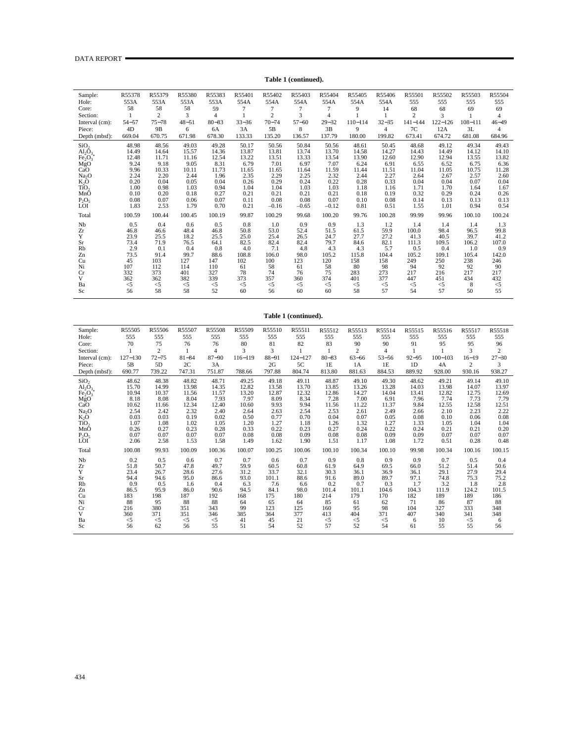| Sample:                        | R55378       | R55379         | R55380       | R55383         | R55401       | R55402         | R55403       | R55404         | R55405       | R55406       | R55501         | R55502       | R55503       | R55504         |
|--------------------------------|--------------|----------------|--------------|----------------|--------------|----------------|--------------|----------------|--------------|--------------|----------------|--------------|--------------|----------------|
| Hole:                          | 553A         | 553A           | 553A         | 553A           | 554A         | 554A           | 554A         | 554A           | 554A         | 554A         | 555            | 555          | 555          | 555            |
| Core:                          | 58           | 58             | 58           | 59             | 7            | 7              | 7            | 7              | 9            | 14           | 68             | 68           | 69           | 69             |
| Section:                       |              | $\overline{2}$ | 3            | $\overline{4}$ |              | $\overline{c}$ | 3            | $\overline{4}$ |              |              | $\overline{c}$ | 3            |              | $\overline{4}$ |
| Interval (cm):                 | $54 - 57$    | $75 - 78$      | $48 - 51$    | $80 - 83$      | $33 - 36$    | $70 - 74$      | $57 - 60$    | $29 - 32$      | $110 - 114$  | $32 - 35$    | $141 - 144$    | $122 - 126$  | $108 - 111$  | $46 - 49$      |
| Piece:                         | 4D           | 9B             | 6            | 6A             | 3A           | 5B             | 8            | 3B             | 9            | 4            | 7C             | 12A          | 3L           | 4              |
| Depth (mbsf):                  | 669.04       | 670.75         | 671.98       | 678.30         | 133.33       | 135.20         | 136.57       | 137.79         | 180.00       | 199.82       | 673.41         | 674.72       | 681.08       | 684.96         |
| SiO <sub>2</sub>               | 48.98        | 48.56          | 49.03        | 49.28          | 50.17        | 50.56          | 50.84        | 50.56          | 48.61        | 50.45        | 48.68          | 49.12        | 49.34        | 49.43          |
| $\text{Al}_2\bar{\text{O}}_3$  | 14.49        | 14.64          | 15.57        | 14.36          | 13.87        | 13.81          | 13.74        | 13.70          | 14.58        | 14.27        | 14.43          | 14.49        | 14.12        | 14.10          |
| Fe <sub>2</sub> O <sub>3</sub> | 12.48        | 11.71          | 11.16        | 12.54          | 13.22        | 13.51          | 13.33        | 13.54          | 13.90        | 12.60        | 12.90          | 12.94        | 13.55        | 13.82          |
| MgO<br>CaO                     | 9.24         | 9.18           | 9.05         | 8.31           | 6.79         | 7.01           | 6.97         | 7.07           | 6.24         | 6.91         | 6.55           | 6.52         | 6.75         | 6.36           |
|                                | 9.96         | 10.33          | 10.11        | 11.73          | 11.65        | 11.65          | 11.64        | 11.59          | 11.44        | 11.51        | 11.04          | 11.05        | 10.75        | 11.28          |
| Na <sub>2</sub> O              | 2.24         | 2.20           | 2.44         | 1.96           | 2.35         | 2.29           | 2.25         | 2.32           | 2.44         | 2.27         | 2.64           | 2.67         | 2.57         | 2.60           |
| K,Õ<br>TiO,                    | 0.20<br>1.00 | 0.04<br>0.98   | 0.05<br>1.03 | 0.04<br>0.94   | 0.26<br>1.04 | 0.29<br>1.04   | 0.24<br>1.03 | 0.22<br>1.03   | 0.28<br>1.18 | 0.33<br>1.16 | 0.04<br>1.71   | 0.04<br>1.70 | 0.07<br>1.64 | 0.04<br>1.67   |
| MnO                            | 0.10         | 0.20           | 0.18         | 0.27           | 0.21         | 0.21           | 0.21         | 0.21           | 0.18         | 0.19         | 0.32           | 0.29         | 0.24         | 0.26           |
| $P_2O_5$                       | 0.08         | 0.07           | 0.06         | 0.07           | 0.11         | 0.08           | 0.08         | 0.07           | 0.10         | 0.08         | 0.14           | 0.13         | 0.13         | 0.13           |
| LÕI                            | 1.83         | 2.53           | 1.79         | 0.70           | 0.21         | $-0.16$        | $-0.65$      | $-0.12$        | 0.81         | 0.51         | 1.55           | 1.01         | 0.94         | 0.54           |
| Total                          | 100.59       | 100.44         | 100.45       | 100.19         | 99.87        | 100.29         | 99.68        | 100.20         | 99.76        | 100.28       | 99.99          | 99.96        | 100.10       | 100.24         |
|                                |              |                |              |                |              |                |              |                |              |              |                |              |              |                |
| Nb                             | 0.5          | 0.4            | 0.6          | 0.5            | 0.8          | 1.0            | 0.9          | 0.9            | 1.3          | 1.2          | 1.4            | 1.4          | 1.4          | 1.3            |
| Zr                             | 46.8         | 46.6           | 48.4         | 46.8           | 50.8         | 53.0           | 52.4         | 51.5           | 61.5         | 59.9         | 100.0          | 98.4         | 96.5         | 99.8           |
| Y                              | 23.9         | 25.5           | 18.2         | 25.5           | 25.0         | 25.4           | 26.5         | 24.7           | 27.7         | 27.2         | 41.3           | 40.5         | 39.7         | 41.2           |
| Sr                             | 73.4         | 71.9           | 76.5         | 64.1           | 82.5         | 82.4           | 82.4         | 79.7           | 84.6         | 82.1         | 111.3          | 109.5        | 106.2        | 107.0          |
| Rb                             | 2.9          | 0.1            | 0.4          | 0.8            | 4.0          | 7.1            | 4.8          | 4.3            | 4.3          | 5.7          | 0.5            | 0.4          | 1.0          | 0.9            |
| Zn<br>Cu                       | 73.5<br>45   | 91.4<br>103    | 99.7<br>127  | 88.6<br>147    | 108.8<br>102 | 106.0<br>100   | 98.0<br>123  | 105.2<br>120   | 115.8<br>158 | 104.4<br>158 | 105.2<br>249   | 109.1<br>250 | 105.4<br>238 | 142.0<br>246   |
| Ni                             | 107          | 112            | 114          | 110            | 61           | 58             | 61           | 58             | 80           | 98           | 94             | 92           | 92           | 90             |
| Cr                             | 332          | 373            | 401          | 327            | 78           | 74             | 76           | 75             | 283          | 273          | 217            | 216          | 217          | 217            |
| V                              | 362          | 362            | 382          | 339            | 373          | 357            | 360          | 374            | 401          | 377          | 447            | 451          | 434          | 432            |
| Ba                             | $<$ 5        | $<$ 5          | $<$ 5        | $<$ 5          | $\leq$ 5     | $\leq$         | $\leq$ 5     | $\leq$ 5       | $<$ 5        | $<$ 5        | $<$ 5          | $<$ 5        | 8            | $<$ 5          |
| Sc                             | 56           | 58             | 58           | 52             | 60           | 56             | 60           | 60             | 58           | 57           | 54             | 57           | 50           | 55             |
|                                |              |                |              |                |              |                |              |                |              |              |                |              |              |                |

## **Table 1 (continued).**

#### **Table 1 (continued).**

| Sample:                        | R55505       | R55506         | R55507       | R55508       | R55509       | R55510       | R55511       | R55512       | R55513         | R55514         | R55515       | R55516       | R55517       | R55518         |
|--------------------------------|--------------|----------------|--------------|--------------|--------------|--------------|--------------|--------------|----------------|----------------|--------------|--------------|--------------|----------------|
| Hole:                          | 555          | 555            | 555          | 555          | 555          | 555          | 555          | 555          | 555            | 555            | 555          | 555          | 555          | 555            |
| Core:                          | 70           | 75             | 76           | 76           | 80           | 81           | 82           | 83           | 90             | 90             | 91           | 95           | 95           | 96             |
| Section:                       |              | $\overline{2}$ |              | 4            | 3            | 3            |              |              | $\mathfrak{2}$ | $\overline{4}$ |              |              | $\mathbf{3}$ | $\overline{c}$ |
| Interval (cm):                 | $127 - 130$  | $72 - 75$      | $81 - 84$    | $87 - 90$    | $116 - 119$  | $88 - 91$    | $124 - 127$  | $80 - 83$    | $63 - 66$      | $53 - 56$      | $92 - 95$    | $100 - 103$  | $16 - 19$    | $27 - 30$      |
| Piece:                         | 5B           | 5D             | 2C           | 3A           |              | 2G           | 5C           | 1E           | 1A             | 1E             | 1D           | 4A           | 2            | 3              |
| Depth (mbsf):                  | 690.77       | 739.22         | 747.31       | 751.87       | 788.66       | 797.88       | 804.74       | 813.80       | 881.63         | 884.53         | 889.92       | 928.00       | 930.16       | 938.27         |
| SiO <sub>2</sub>               | 48.62        | 48.38          | 48.82        | 48.71        | 49.25        | 49.18        | 49.11        | 48.87        | 49.10          | 49.30          | 48.62        | 49.21        | 49.14        | 49.10          |
| $Al_2O_3$                      | 15.70        | 14.99          | 13.98        | 14.35        | 12.82        | 13.58        | 13.70        | 13.85        | 13.26          | 13.28          | 14.03        | 13.98        | 14.07        | 13.97          |
| Fe <sub>2</sub> O <sub>3</sub> | 10.94        | 10.37          | 11.56        | 11.57        | 13.20        | 12.87        | 12.32        | 12.86        | 14.27          | 14.04          | 13.41        | 12.82        | 12.75        | 12.69          |
| MgO                            | 8.18         | 8.08           | 8.04         | 7.93         | 7.97         | 8.09         | 8.34         | 7.28         | 7.00           | 6.91           | 7.96         | 7.74         | 7.73         | 7.79           |
| CaO                            | 10.62        | 11.66          | 12.34        | 12.40        | 10.60        | 9.93         | 9.94         | 11.56        | 11.22          | 11.37          | 9.84         | 12.55        | 12.58        | 12.51          |
| Na <sub>2</sub> O              | 2.54         | 2.42           | 2.32         | 2.40         | 2.64         | 2.63         | 2.54         | 2.53         | 2.61           | 2.49           | 2.66         | 2.10         | 2.23         | 2.22           |
| K <sub>2</sub> O               | 0.03         | 0.03           | 0.19         | 0.02         | 0.50         | 0.77         | 0.70         | 0.04         | 0.07           | 0.05           | 0.08         | 0.10         | 0.06         | 0.08           |
| TiO <sub>2</sub><br>MnO        | 1.07<br>0.26 | 1.08<br>0.27   | 1.02<br>0.23 | 1.05<br>0.28 | 1.20<br>0.33 | 1.27<br>0.22 | 1.18<br>0.23 | 1.26         | 1.32<br>0.24   | 1.27<br>0.22   | 1.33<br>0.24 | 1.05<br>0.21 | 1.04<br>0.21 | 1.04<br>0.20   |
| $P_2O_5$                       | 0.07         | 0.07           | 0.07         | 0.07         | 0.08         | 0.08         | 0.09         | 0.27<br>0.08 | 0.08           | 0.09           | 0.09         | 0.07         | 0.07         | 0.07           |
| LOI                            | 2.06         | 2.58           | 1.53         | 1.58         | 1.49         | 1.62         | 1.90         | 1.51         | 1.17           | 1.08           | 1.72         | 0.51         | 0.28         | 0.48           |
|                                |              |                |              |              |              |              |              |              |                |                |              |              |              |                |
| Total                          | 100.08       | 99.93          | 100.09       | 100.36       | 100.07       | 100.25       | 100.06       | 100.10       | 100.34         | 100.10         | 99.98        | 100.34       | 100.16       | 100.15         |
| Nb                             | 0.2          | 0.5            | 0.6          | 0.7          | 0.7          | 0.6          | 0.7          | 0.9          | 0.8            | 0.9            | 0.9          | 0.7          | 0.5          | 0.4            |
| Zr                             | 51.8         | 50.7           | 47.8         | 49.7         | 59.9         | 60.5         | 60.8         | 61.9         | 64.9           | 69.5           | 66.0         | 51.2         | 51.4         | 50.6           |
| Y                              | 23.4         | 26.7           | 28.6         | 27.6         | 31.2         | 33.7         | 32.1         | 30.3         | 36.1           | 36.9           | 36.1         | 29.1         | 27.9         | 29.4           |
| Sr                             | 94.4         | 94.6           | 95.0         | 86.6         | 93.0         | 101.1        | 88.6         | 91.6         | 89.0           | 89.7           | 97.1         | 74.8         | 75.3         | 75.2           |
| Rb                             | 0.9          | 0.5            | 1.6          | 0.4          | 6.3          | 7.6          | 6.6          | 0.2          | 0.7            | 0.3            | 1.7          | 3.2          | 1.8          | 2.8            |
| Zn                             | 86.5         | 95.9           | 86.0         | 90.6         | 94.5         | 84.1         | 98.0         | 101.4        | 101.1          | 104.6          | 104.3        | 111.9        | 124.2        | 101.5          |
| Cu                             | 183          | 198            | 187          | 192          | 168          | 175          | 180          | 214          | 179            | 170            | 182          | 189          | 189          | 186            |
| Ni                             | 88           | 95<br>380      | 88           | 88           | 64<br>99     | 65           | 64           | 85<br>160    | 61             | 62<br>98       | 71<br>104    | 86           | 87           | 88             |
| Cr<br>$\mathbf{V}$             | 216<br>360   | 371            | 351<br>351   | 343<br>346   | 385          | 123<br>364   | 125<br>377   | 413          | 95<br>404      | 371            | 407          | 327<br>340   | 333<br>341   | 348<br>348     |
| Ba                             | $<$ 5        | $<$ 5          | $<$ 5        | $<$ 5        | 41           | 45           | 21           | $<$ 5        | $<$ 5          | $<$ 5          | 6            | 10           | $<$ 5        | 6              |
| <b>Sc</b>                      | 56           | 62             | 56           | 55           | 51           | 54           | 52           | 57           | 52             | 54             | 61           | 55           | 55           | 56             |